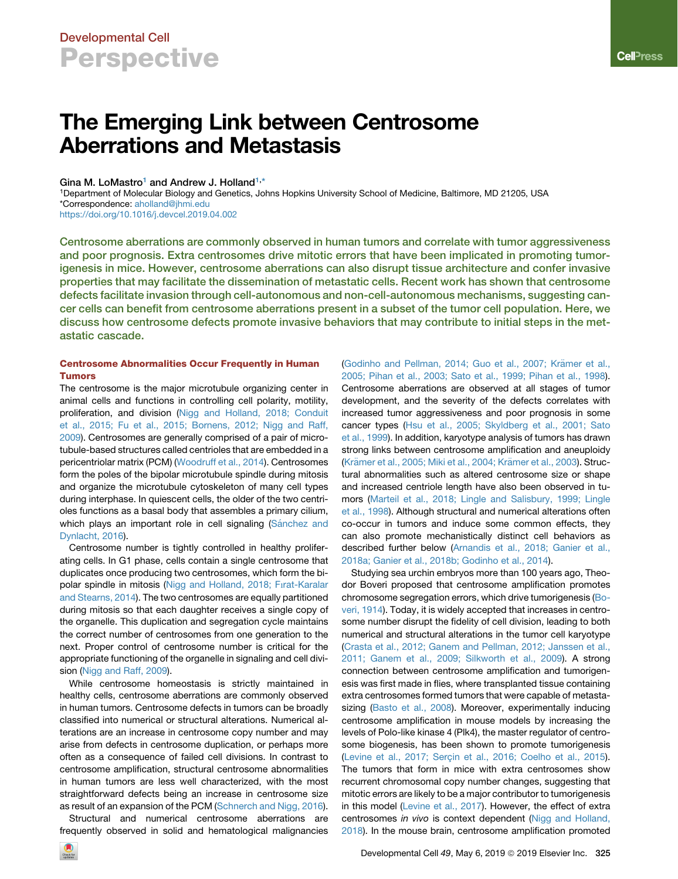# The Emerging Link between Centrosome Aberrations and Metastasis

### Gina M. LoMastro<sup>1</sup> and Andrew J. Holland<sup>[1,](#page-0-0)[\\*](#page-0-1)</sup>

<span id="page-0-1"></span><span id="page-0-0"></span>1Department of Molecular Biology and Genetics, Johns Hopkins University School of Medicine, Baltimore, MD 21205, USA \*Correspondence: [aholland@jhmi.edu](mailto:aholland@jhmi.edu)

<https://doi.org/10.1016/j.devcel.2019.04.002>

Centrosome aberrations are commonly observed in human tumors and correlate with tumor aggressiveness and poor prognosis. Extra centrosomes drive mitotic errors that have been implicated in promoting tumorigenesis in mice. However, centrosome aberrations can also disrupt tissue architecture and confer invasive properties that may facilitate the dissemination of metastatic cells. Recent work has shown that centrosome defects facilitate invasion through cell-autonomous and non-cell-autonomous mechanisms, suggesting cancer cells can benefit from centrosome aberrations present in a subset of the tumor cell population. Here, we discuss how centrosome defects promote invasive behaviors that may contribute to initial steps in the metastatic cascade.

### Centrosome Abnormalities Occur Frequently in Human Tumors

The centrosome is the major microtubule organizing center in animal cells and functions in controlling cell polarity, motility, proliferation, and division [\(Nigg and Holland, 2018; Conduit](#page-5-0) [et al., 2015; Fu et al., 2015; Bornens, 2012; Nigg and Raff,](#page-5-0) [2009\)](#page-5-0). Centrosomes are generally comprised of a pair of microtubule-based structures called centrioles that are embedded in a pericentriolar matrix (PCM) [\(Woodruff et al., 2014\)](#page-6-0). Centrosomes form the poles of the bipolar microtubule spindle during mitosis and organize the microtubule cytoskeleton of many cell types during interphase. In quiescent cells, the older of the two centrioles functions as a basal body that assembles a primary cilium, which plays an important role in cell signaling (Sá[nchez and](#page-6-1) [Dynlacht, 2016\)](#page-6-1).

Centrosome number is tightly controlled in healthy proliferating cells. In G1 phase, cells contain a single centrosome that duplicates once producing two centrosomes, which form the bipolar spindle in mitosis ([Nigg and Holland, 2018; F](#page-5-0)ırat-Karalar [and Stearns, 2014\)](#page-5-0). The two centrosomes are equally partitioned during mitosis so that each daughter receives a single copy of the organelle. This duplication and segregation cycle maintains the correct number of centrosomes from one generation to the next. Proper control of centrosome number is critical for the appropriate functioning of the organelle in signaling and cell division [\(Nigg and Raff, 2009\)](#page-5-1).

While centrosome homeostasis is strictly maintained in healthy cells, centrosome aberrations are commonly observed in human tumors. Centrosome defects in tumors can be broadly classified into numerical or structural alterations. Numerical alterations are an increase in centrosome copy number and may arise from defects in centrosome duplication, or perhaps more often as a consequence of failed cell divisions. In contrast to centrosome amplification, structural centrosome abnormalities in human tumors are less well characterized, with the most straightforward defects being an increase in centrosome size as result of an expansion of the PCM [\(Schnerch and Nigg, 2016\)](#page-6-2).

Structural and numerical centrosome aberrations are frequently observed in solid and hematological malignancies (Godinho and Pellman, 2014; Guo et al., 2007; Krämer et al., [2005; Pihan et al., 2003; Sato et al., 1999; Pihan et al., 1998\)](#page-5-2). Centrosome aberrations are observed at all stages of tumor development, and the severity of the defects correlates with increased tumor aggressiveness and poor prognosis in some cancer types [\(Hsu et al., 2005; Skyldberg et al., 2001; Sato](#page-5-3) [et al., 1999](#page-5-3)). In addition, karyotype analysis of tumors has drawn strong links between centrosome amplification and aneuploidy (Krämer et al., 2005; Miki et al., 2004; Krämer et al., 2003). Structural abnormalities such as altered centrosome size or shape and increased centriole length have also been observed in tumors [\(Marteil et al., 2018; Lingle and Salisbury, 1999; Lingle](#page-5-5) [et al., 1998\)](#page-5-5). Although structural and numerical alterations often co-occur in tumors and induce some common effects, they can also promote mechanistically distinct cell behaviors as described further below [\(Arnandis et al., 2018; Ganier et al.,](#page-4-0) [2018a; Ganier et al., 2018b; Godinho et al., 2014\)](#page-4-0).

Studying sea urchin embryos more than 100 years ago, Theodor Boveri proposed that centrosome amplification promotes chromosome segregation errors, which drive tumorigenesis [\(Bo](#page-4-1)[veri, 1914\)](#page-4-1). Today, it is widely accepted that increases in centrosome number disrupt the fidelity of cell division, leading to both numerical and structural alterations in the tumor cell karyotype [\(Crasta et al., 2012; Ganem and Pellman, 2012; Janssen et al.,](#page-5-6) [2011; Ganem et al., 2009; Silkworth et al., 2009](#page-5-6)). A strong connection between centrosome amplification and tumorigenesis was first made in flies, where transplanted tissue containing extra centrosomes formed tumors that were capable of metasta-sizing ([Basto et al., 2008\)](#page-4-2). Moreover, experimentally inducing centrosome amplification in mouse models by increasing the levels of Polo-like kinase 4 (Plk4), the master regulator of centrosome biogenesis, has been shown to promote tumorigenesis (Levine et al., 2017; Serçin et al., 2016; Coelho et al., 2015). The tumors that form in mice with extra centrosomes show recurrent chromosomal copy number changes, suggesting that mitotic errors are likely to be a major contributor to tumorigenesis in this model [\(Levine et al., 2017\)](#page-5-7). However, the effect of extra centrosomes *in vivo* is context dependent [\(Nigg and Holland,](#page-5-0) [2018\)](#page-5-0). In the mouse brain, centrosome amplification promoted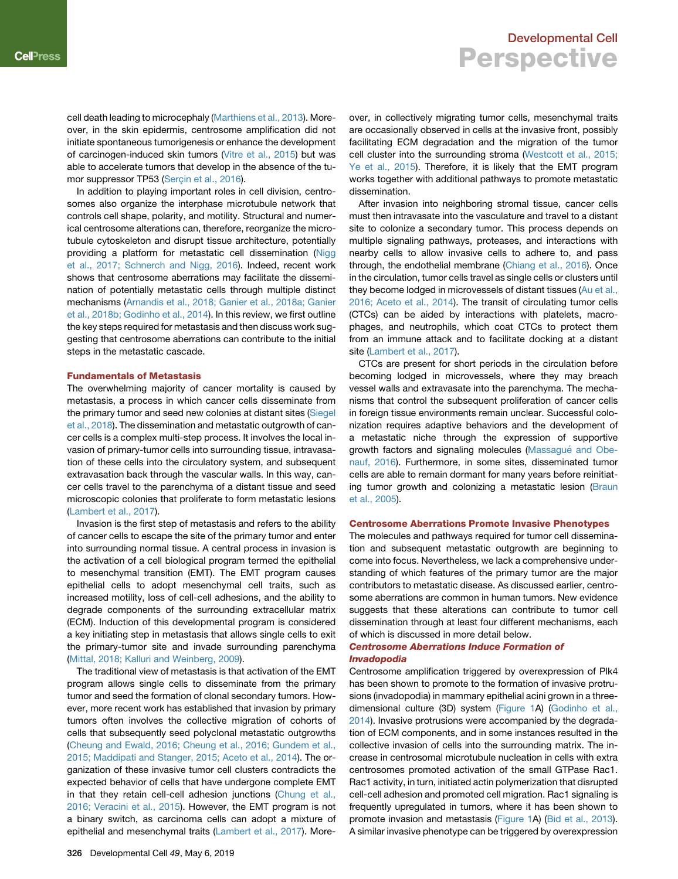cell death leading to microcephaly [\(Marthiens et al., 2013\)](#page-5-8). Moreover, in the skin epidermis, centrosome amplification did not initiate spontaneous tumorigenesis or enhance the development of carcinogen-induced skin tumors [\(Vitre et al., 2015\)](#page-6-3) but was able to accelerate tumors that develop in the absence of the tumor suppressor TP53 (Serçin et al., 2016).

In addition to playing important roles in cell division, centrosomes also organize the interphase microtubule network that controls cell shape, polarity, and motility. Structural and numerical centrosome alterations can, therefore, reorganize the microtubule cytoskeleton and disrupt tissue architecture, potentially providing a platform for metastatic cell dissemination [\(Nigg](#page-5-9) [et al., 2017; Schnerch and Nigg, 2016\)](#page-5-9). Indeed, recent work shows that centrosome aberrations may facilitate the dissemination of potentially metastatic cells through multiple distinct mechanisms [\(Arnandis et al., 2018; Ganier et al., 2018a; Ganier](#page-4-0) [et al., 2018b; Godinho et al., 2014](#page-4-0)). In this review, we first outline the key steps required for metastasis and then discuss work suggesting that centrosome aberrations can contribute to the initial steps in the metastatic cascade.

#### Fundamentals of Metastasis

The overwhelming majority of cancer mortality is caused by metastasis, a process in which cancer cells disseminate from the primary tumor and seed new colonies at distant sites ([Siegel](#page-6-5) [et al., 2018](#page-6-5)). The dissemination and metastatic outgrowth of cancer cells is a complex multi-step process. It involves the local invasion of primary-tumor cells into surrounding tissue, intravasation of these cells into the circulatory system, and subsequent extravasation back through the vascular walls. In this way, cancer cells travel to the parenchyma of a distant tissue and seed microscopic colonies that proliferate to form metastatic lesions ([Lambert et al., 2017\)](#page-5-10).

Invasion is the first step of metastasis and refers to the ability of cancer cells to escape the site of the primary tumor and enter into surrounding normal tissue. A central process in invasion is the activation of a cell biological program termed the epithelial to mesenchymal transition (EMT). The EMT program causes epithelial cells to adopt mesenchymal cell traits, such as increased motility, loss of cell-cell adhesions, and the ability to degrade components of the surrounding extracellular matrix (ECM). Induction of this developmental program is considered a key initiating step in metastasis that allows single cells to exit the primary-tumor site and invade surrounding parenchyma ([Mittal, 2018; Kalluri and Weinberg, 2009](#page-5-11)).

The traditional view of metastasis is that activation of the EMT program allows single cells to disseminate from the primary tumor and seed the formation of clonal secondary tumors. However, more recent work has established that invasion by primary tumors often involves the collective migration of cohorts of cells that subsequently seed polyclonal metastatic outgrowths ([Cheung and Ewald, 2016; Cheung et al., 2016; Gundem et al.,](#page-4-3) [2015; Maddipati and Stanger, 2015; Aceto et al., 2014\)](#page-4-3). The organization of these invasive tumor cell clusters contradicts the expected behavior of cells that have undergone complete EMT in that they retain cell-cell adhesion junctions [\(Chung et al.,](#page-4-4) [2016; Veracini et al., 2015](#page-4-4)). However, the EMT program is not a binary switch, as carcinoma cells can adopt a mixture of epithelial and mesenchymal traits ([Lambert et al., 2017\)](#page-5-10). More-

over, in collectively migrating tumor cells, mesenchymal traits are occasionally observed in cells at the invasive front, possibly facilitating ECM degradation and the migration of the tumor cell cluster into the surrounding stroma [\(Westcott et al., 2015;](#page-6-6) [Ye et al., 2015\)](#page-6-6). Therefore, it is likely that the EMT program works together with additional pathways to promote metastatic dissemination.

After invasion into neighboring stromal tissue, cancer cells must then intravasate into the vasculature and travel to a distant site to colonize a secondary tumor. This process depends on multiple signaling pathways, proteases, and interactions with nearby cells to allow invasive cells to adhere to, and pass through, the endothelial membrane ([Chiang et al., 2016](#page-4-5)). Once in the circulation, tumor cells travel as single cells or clusters until they become lodged in microvessels of distant tissues [\(Au et al.,](#page-4-6) [2016; Aceto et al., 2014\)](#page-4-6). The transit of circulating tumor cells (CTCs) can be aided by interactions with platelets, macrophages, and neutrophils, which coat CTCs to protect them from an immune attack and to facilitate docking at a distant site ([Lambert et al., 2017\)](#page-5-10).

CTCs are present for short periods in the circulation before becoming lodged in microvessels, where they may breach vessel walls and extravasate into the parenchyma. The mechanisms that control the subsequent proliferation of cancer cells in foreign tissue environments remain unclear. Successful colonization requires adaptive behaviors and the development of a metastatic niche through the expression of supportive growth factors and signaling molecules (Massagué and Obe[nauf, 2016](#page-5-12)). Furthermore, in some sites, disseminated tumor cells are able to remain dormant for many years before reinitiat-ing tumor growth and colonizing a metastatic lesion [\(Braun](#page-4-7) [et al., 2005\)](#page-4-7).

#### Centrosome Aberrations Promote Invasive Phenotypes

The molecules and pathways required for tumor cell dissemination and subsequent metastatic outgrowth are beginning to come into focus. Nevertheless, we lack a comprehensive understanding of which features of the primary tumor are the major contributors to metastatic disease. As discussed earlier, centrosome aberrations are common in human tumors. New evidence suggests that these alterations can contribute to tumor cell dissemination through at least four different mechanisms, each of which is discussed in more detail below.

### Centrosome Aberrations Induce Formation of Invadopodia

Centrosome amplification triggered by overexpression of Plk4 has been shown to promote to the formation of invasive protrusions (invadopodia) in mammary epithelial acini grown in a threedimensional culture (3D) system ([Figure 1](#page-2-0)A) ([Godinho et al.,](#page-5-13) [2014\)](#page-5-13). Invasive protrusions were accompanied by the degradation of ECM components, and in some instances resulted in the collective invasion of cells into the surrounding matrix. The increase in centrosomal microtubule nucleation in cells with extra centrosomes promoted activation of the small GTPase Rac1. Rac1 activity, in turn, initiated actin polymerization that disrupted cell-cell adhesion and promoted cell migration. Rac1 signaling is frequently upregulated in tumors, where it has been shown to promote invasion and metastasis ([Figure 1](#page-2-0)A) ([Bid et al., 2013](#page-4-8)). A similar invasive phenotype can be triggered by overexpression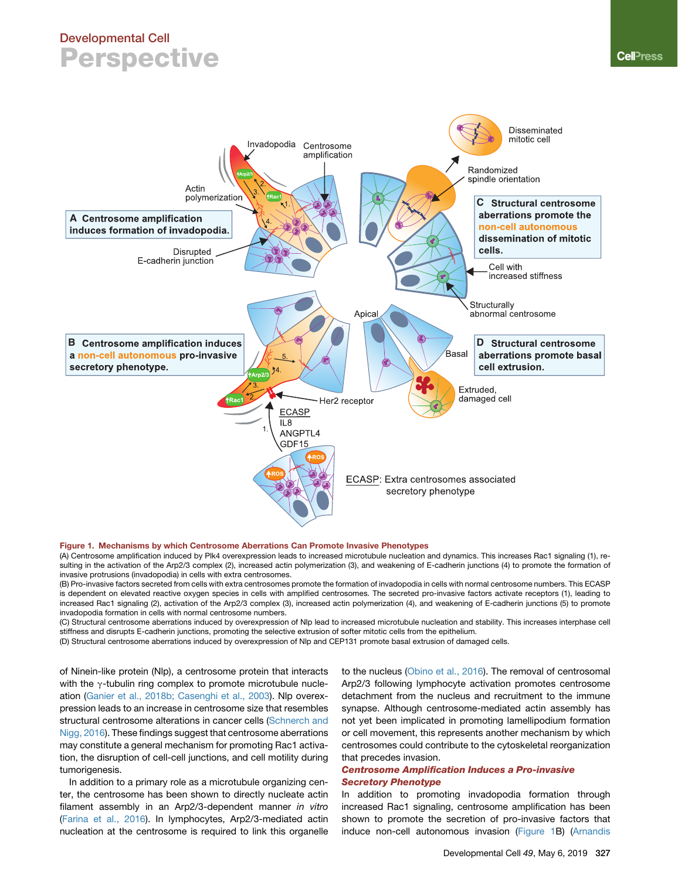<span id="page-2-0"></span>

#### Figure 1. Mechanisms by which Centrosome Aberrations Can Promote Invasive Phenotypes

(A) Centrosome amplification induced by Plk4 overexpression leads to increased microtubule nucleation and dynamics. This increases Rac1 signaling (1), resulting in the activation of the Arp2/3 complex (2), increased actin polymerization (3), and weakening of E-cadherin junctions (4) to promote the formation of invasive protrusions (invadopodia) in cells with extra centrosomes.

(B) Pro-invasive factors secreted from cells with extra centrosomes promote the formation of invadopodia in cells with normal centrosome numbers. This ECASP is dependent on elevated reactive oxygen species in cells with amplified centrosomes. The secreted pro-invasive factors activate receptors (1), leading to increased Rac1 signaling (2), activation of the Arp2/3 complex (3), increased actin polymerization (4), and weakening of E-cadherin junctions (5) to promote invadopodia formation in cells with normal centrosome numbers.

(C) Structural centrosome aberrations induced by overexpression of Nlp lead to increased microtubule nucleation and stability. This increases interphase cell stiffness and disrupts E-cadherin junctions, promoting the selective extrusion of softer mitotic cells from the epithelium.

(D) Structural centrosome aberrations induced by overexpression of Nlp and CEP131 promote basal extrusion of damaged cells.

of Ninein-like protein (Nlp), a centrosome protein that interacts with the  $\gamma$ -tubulin ring complex to promote microtubule nucleation ([Ganier et al., 2018b; Casenghi et al., 2003\)](#page-5-14). Nlp overexpression leads to an increase in centrosome size that resembles structural centrosome alterations in cancer cells [\(Schnerch and](#page-6-2) [Nigg, 2016](#page-6-2)). These findings suggest that centrosome aberrations may constitute a general mechanism for promoting Rac1 activation, the disruption of cell-cell junctions, and cell motility during tumorigenesis.

In addition to a primary role as a microtubule organizing center, the centrosome has been shown to directly nucleate actin filament assembly in an Arp2/3-dependent manner *in vitro* [\(Farina et al., 2016](#page-5-15)). In lymphocytes, Arp2/3-mediated actin nucleation at the centrosome is required to link this organelle

to the nucleus ([Obino et al., 2016](#page-5-16)). The removal of centrosomal Arp2/3 following lymphocyte activation promotes centrosome detachment from the nucleus and recruitment to the immune synapse. Although centrosome-mediated actin assembly has not yet been implicated in promoting lamellipodium formation or cell movement, this represents another mechanism by which centrosomes could contribute to the cytoskeletal reorganization that precedes invasion.

### Centrosome Amplification Induces a Pro-invasive Secretory Phenotype

In addition to promoting invadopodia formation through increased Rac1 signaling, centrosome amplification has been shown to promote the secretion of pro-invasive factors that induce non-cell autonomous invasion [\(Figure 1B](#page-2-0)) ([Arnandis](#page-4-0)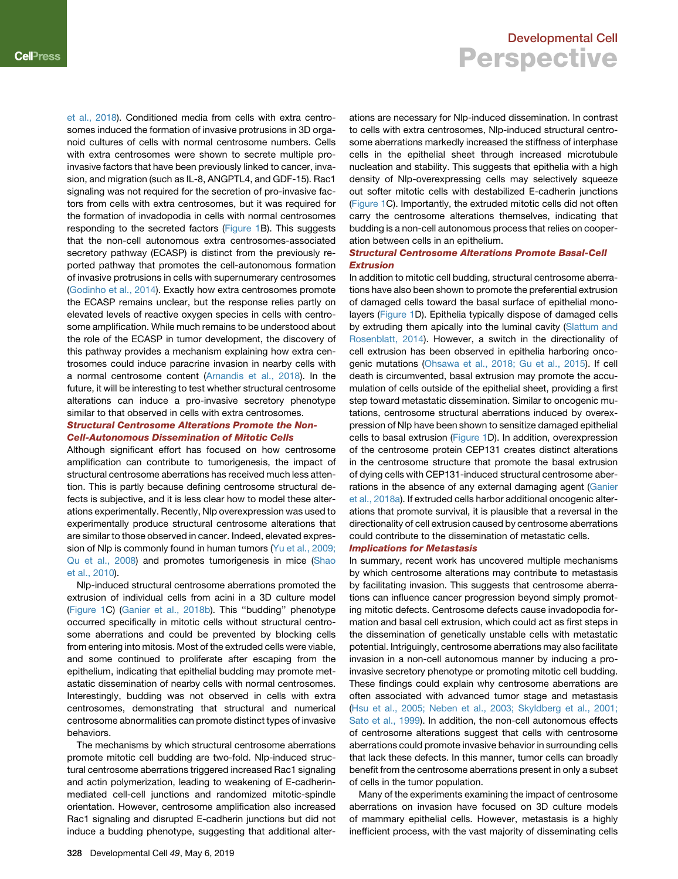[et al., 2018\)](#page-4-0). Conditioned media from cells with extra centrosomes induced the formation of invasive protrusions in 3D organoid cultures of cells with normal centrosome numbers. Cells with extra centrosomes were shown to secrete multiple proinvasive factors that have been previously linked to cancer, invasion, and migration (such as IL-8, ANGPTL4, and GDF-15). Rac1 signaling was not required for the secretion of pro-invasive factors from cells with extra centrosomes, but it was required for the formation of invadopodia in cells with normal centrosomes responding to the secreted factors [\(Figure 1B](#page-2-0)). This suggests that the non-cell autonomous extra centrosomes-associated secretory pathway (ECASP) is distinct from the previously reported pathway that promotes the cell-autonomous formation of invasive protrusions in cells with supernumerary centrosomes ([Godinho et al., 2014\)](#page-5-13). Exactly how extra centrosomes promote the ECASP remains unclear, but the response relies partly on elevated levels of reactive oxygen species in cells with centrosome amplification. While much remains to be understood about the role of the ECASP in tumor development, the discovery of this pathway provides a mechanism explaining how extra centrosomes could induce paracrine invasion in nearby cells with a normal centrosome content ([Arnandis et al., 2018\)](#page-4-0). In the future, it will be interesting to test whether structural centrosome alterations can induce a pro-invasive secretory phenotype similar to that observed in cells with extra centrosomes.

### Structural Centrosome Alterations Promote the Non-Cell-Autonomous Dissemination of Mitotic Cells

Although significant effort has focused on how centrosome amplification can contribute to tumorigenesis, the impact of structural centrosome aberrations has received much less attention. This is partly because defining centrosome structural defects is subjective, and it is less clear how to model these alterations experimentally. Recently, Nlp overexpression was used to experimentally produce structural centrosome alterations that are similar to those observed in cancer. Indeed, elevated expres-sion of Nlp is commonly found in human tumors ([Yu et al., 2009;](#page-6-7) [Qu et al., 2008\)](#page-6-7) and promotes tumorigenesis in mice [\(Shao](#page-6-8) [et al., 2010\)](#page-6-8).

Nlp-induced structural centrosome aberrations promoted the extrusion of individual cells from acini in a 3D culture model ([Figure 1](#page-2-0)C) ([Ganier et al., 2018b](#page-5-14)). This ''budding'' phenotype occurred specifically in mitotic cells without structural centrosome aberrations and could be prevented by blocking cells from entering into mitosis. Most of the extruded cells were viable, and some continued to proliferate after escaping from the epithelium, indicating that epithelial budding may promote metastatic dissemination of nearby cells with normal centrosomes. Interestingly, budding was not observed in cells with extra centrosomes, demonstrating that structural and numerical centrosome abnormalities can promote distinct types of invasive behaviors.

The mechanisms by which structural centrosome aberrations promote mitotic cell budding are two-fold. Nlp-induced structural centrosome aberrations triggered increased Rac1 signaling and actin polymerization, leading to weakening of E-cadherinmediated cell-cell junctions and randomized mitotic-spindle orientation. However, centrosome amplification also increased Rac1 signaling and disrupted E-cadherin junctions but did not induce a budding phenotype, suggesting that additional alter-

## Developmental Cell **Perspective**

ations are necessary for Nlp-induced dissemination. In contrast to cells with extra centrosomes, Nlp-induced structural centrosome aberrations markedly increased the stiffness of interphase cells in the epithelial sheet through increased microtubule nucleation and stability. This suggests that epithelia with a high density of Nlp-overexpressing cells may selectively squeeze out softer mitotic cells with destabilized E-cadherin junctions [\(Figure 1C](#page-2-0)). Importantly, the extruded mitotic cells did not often carry the centrosome alterations themselves, indicating that budding is a non-cell autonomous process that relies on cooperation between cells in an epithelium.

### Structural Centrosome Alterations Promote Basal-Cell Extrusion

In addition to mitotic cell budding, structural centrosome aberrations have also been shown to promote the preferential extrusion of damaged cells toward the basal surface of epithelial monolayers [\(Figure 1](#page-2-0)D). Epithelia typically dispose of damaged cells by extruding them apically into the luminal cavity ([Slattum and](#page-6-9) [Rosenblatt, 2014](#page-6-9)). However, a switch in the directionality of cell extrusion has been observed in epithelia harboring oncogenic mutations ([Ohsawa et al., 2018; Gu et al., 2015\)](#page-5-17). If cell death is circumvented, basal extrusion may promote the accumulation of cells outside of the epithelial sheet, providing a first step toward metastatic dissemination. Similar to oncogenic mutations, centrosome structural aberrations induced by overexpression of Nlp have been shown to sensitize damaged epithelial cells to basal extrusion [\(Figure 1D](#page-2-0)). In addition, overexpression of the centrosome protein CEP131 creates distinct alterations in the centrosome structure that promote the basal extrusion of dying cells with CEP131-induced structural centrosome aber-rations in the absence of any external damaging agent ([Ganier](#page-5-18) [et al., 2018a](#page-5-18)). If extruded cells harbor additional oncogenic alterations that promote survival, it is plausible that a reversal in the directionality of cell extrusion caused by centrosome aberrations could contribute to the dissemination of metastatic cells.

### Implications for Metastasis

In summary, recent work has uncovered multiple mechanisms by which centrosome alterations may contribute to metastasis by facilitating invasion. This suggests that centrosome aberrations can influence cancer progression beyond simply promoting mitotic defects. Centrosome defects cause invadopodia formation and basal cell extrusion, which could act as first steps in the dissemination of genetically unstable cells with metastatic potential. Intriguingly, centrosome aberrations may also facilitate invasion in a non-cell autonomous manner by inducing a proinvasive secretory phenotype or promoting mitotic cell budding. These findings could explain why centrosome aberrations are often associated with advanced tumor stage and metastasis [\(Hsu et al., 2005; Neben et al., 2003; Skyldberg et al., 2001;](#page-5-3) [Sato et al., 1999\)](#page-5-3). In addition, the non-cell autonomous effects of centrosome alterations suggest that cells with centrosome aberrations could promote invasive behavior in surrounding cells that lack these defects. In this manner, tumor cells can broadly benefit from the centrosome aberrations present in only a subset of cells in the tumor population.

Many of the experiments examining the impact of centrosome aberrations on invasion have focused on 3D culture models of mammary epithelial cells. However, metastasis is a highly inefficient process, with the vast majority of disseminating cells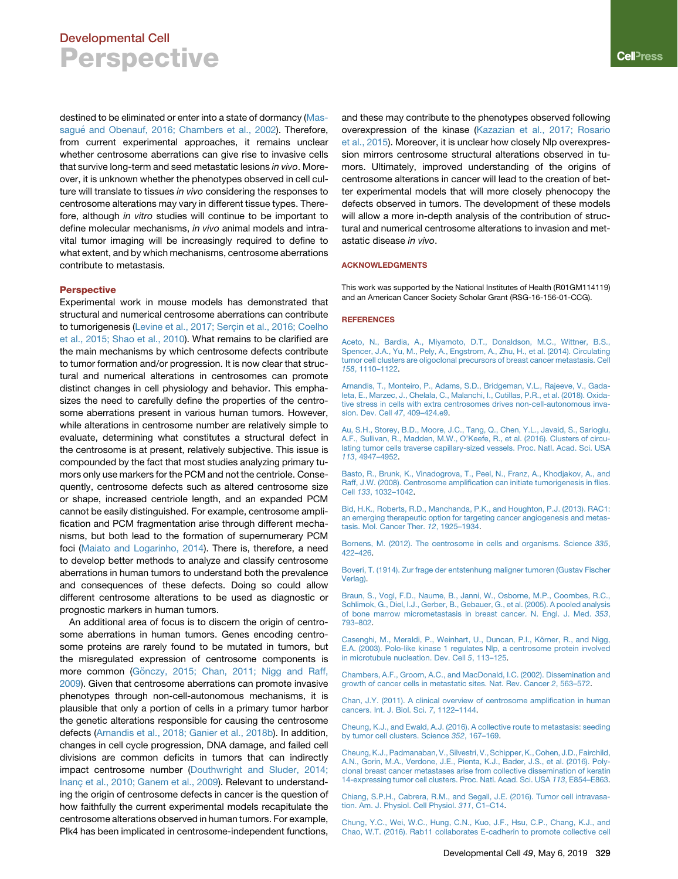destined to be eliminated or enter into a state of dormancy ([Mas](#page-5-12)sagué [and Obenauf, 2016; Chambers et al., 2002\)](#page-5-12). Therefore, from current experimental approaches, it remains unclear whether centrosome aberrations can give rise to invasive cells that survive long-term and seed metastatic lesions *in vivo*. Moreover, it is unknown whether the phenotypes observed in cell culture will translate to tissues *in vivo* considering the responses to centrosome alterations may vary in different tissue types. Therefore, although *in vitro* studies will continue to be important to define molecular mechanisms, *in vivo* animal models and intravital tumor imaging will be increasingly required to define to what extent, and by which mechanisms, centrosome aberrations contribute to metastasis.

#### Perspective

Experimental work in mouse models has demonstrated that structural and numerical centrosome aberrations can contribute to tumorigenesis (Levine et al., 2017; Serçin et al., 2016; Coelho [et al., 2015; Shao et al., 2010](#page-5-7)). What remains to be clarified are the main mechanisms by which centrosome defects contribute to tumor formation and/or progression. It is now clear that structural and numerical alterations in centrosomes can promote distinct changes in cell physiology and behavior. This emphasizes the need to carefully define the properties of the centrosome aberrations present in various human tumors. However, while alterations in centrosome number are relatively simple to evaluate, determining what constitutes a structural defect in the centrosome is at present, relatively subjective. This issue is compounded by the fact that most studies analyzing primary tumors only use markers for the PCM and not the centriole. Consequently, centrosome defects such as altered centrosome size or shape, increased centriole length, and an expanded PCM cannot be easily distinguished. For example, centrosome amplification and PCM fragmentation arise through different mechanisms, but both lead to the formation of supernumerary PCM foci [\(Maiato and Logarinho, 2014](#page-5-19)). There is, therefore, a need to develop better methods to analyze and classify centrosome aberrations in human tumors to understand both the prevalence and consequences of these defects. Doing so could allow different centrosome alterations to be used as diagnostic or prognostic markers in human tumors.

An additional area of focus is to discern the origin of centrosome aberrations in human tumors. Genes encoding centrosome proteins are rarely found to be mutated in tumors, but the misregulated expression of centrosome components is more common (Gö[nczy, 2015; Chan, 2011; Nigg and Raff,](#page-5-20) [2009\)](#page-5-20). Given that centrosome aberrations can promote invasive phenotypes through non-cell-autonomous mechanisms, it is plausible that only a portion of cells in a primary tumor harbor the genetic alterations responsible for causing the centrosome defects ([Arnandis et al., 2018; Ganier et al., 2018b\)](#page-4-0). In addition, changes in cell cycle progression, DNA damage, and failed cell divisions are common deficits in tumors that can indirectly impact centrosome number ([Douthwright and Sluder, 2014;](#page-5-21) Inanç et al., 2010; Ganem et al., 2009). Relevant to understanding the origin of centrosome defects in cancer is the question of how faithfully the current experimental models recapitulate the centrosome alterations observed in human tumors. For example, Plk4 has been implicated in centrosome-independent functions,

and these may contribute to the phenotypes observed following overexpression of the kinase [\(Kazazian et al., 2017; Rosario](#page-5-22) [et al., 2015](#page-5-22)). Moreover, it is unclear how closely Nlp overexpression mirrors centrosome structural alterations observed in tumors. Ultimately, improved understanding of the origins of centrosome alterations in cancer will lead to the creation of better experimental models that will more closely phenocopy the defects observed in tumors. The development of these models will allow a more in-depth analysis of the contribution of structural and numerical centrosome alterations to invasion and metastatic disease *in vivo*.

#### ACKNOWLEDGMENTS

This work was supported by the National Institutes of Health (R01GM114119) and an American Cancer Society Scholar Grant (RSG-16-156-01-CCG).

#### **REFERENCES**

[Aceto, N., Bardia, A., Miyamoto, D.T., Donaldson, M.C., Wittner, B.S.,](http://refhub.elsevier.com/S1534-5807(19)30272-2/sref1) [Spencer, J.A., Yu, M., Pely, A., Engstrom, A., Zhu, H., et al. \(2014\). Circulating](http://refhub.elsevier.com/S1534-5807(19)30272-2/sref1) [tumor cell clusters are oligoclonal precursors of breast cancer metastasis. Cell](http://refhub.elsevier.com/S1534-5807(19)30272-2/sref1) *158*[, 1110–1122.](http://refhub.elsevier.com/S1534-5807(19)30272-2/sref1)

<span id="page-4-0"></span>[Arnandis, T., Monteiro, P., Adams, S.D., Bridgeman, V.L., Rajeeve, V., Gada](http://refhub.elsevier.com/S1534-5807(19)30272-2/sref2)[leta, E., Marzec, J., Chelala, C., Malanchi, I., Cutillas, P.R., et al. \(2018\). Oxida](http://refhub.elsevier.com/S1534-5807(19)30272-2/sref2)[tive stress in cells with extra centrosomes drives non-cell-autonomous inva](http://refhub.elsevier.com/S1534-5807(19)30272-2/sref2)[sion. Dev. Cell](http://refhub.elsevier.com/S1534-5807(19)30272-2/sref2) *47*, 409–424.e9.

<span id="page-4-6"></span>[Au, S.H., Storey, B.D., Moore, J.C., Tang, Q., Chen, Y.L., Javaid, S., Sarioglu,](http://refhub.elsevier.com/S1534-5807(19)30272-2/sref3) [A.F., Sullivan, R., Madden, M.W., O'Keefe, R., et al. \(2016\). Clusters of circu](http://refhub.elsevier.com/S1534-5807(19)30272-2/sref3)[lating tumor cells traverse capillary-sized vessels. Proc. Natl. Acad. Sci. USA](http://refhub.elsevier.com/S1534-5807(19)30272-2/sref3) *113*[, 4947–4952.](http://refhub.elsevier.com/S1534-5807(19)30272-2/sref3)

<span id="page-4-2"></span>[Basto, R., Brunk, K., Vinadogrova, T., Peel, N., Franz, A., Khodjakov, A., and](http://refhub.elsevier.com/S1534-5807(19)30272-2/sref4) [Raff, J.W. \(2008\). Centrosome amplification can initiate tumorigenesis in flies.](http://refhub.elsevier.com/S1534-5807(19)30272-2/sref4) Cell *133*[, 1032–1042.](http://refhub.elsevier.com/S1534-5807(19)30272-2/sref4)

<span id="page-4-8"></span>[Bid, H.K., Roberts, R.D., Manchanda, P.K., and Houghton, P.J. \(2013\). RAC1:](http://refhub.elsevier.com/S1534-5807(19)30272-2/sref5) [an emerging therapeutic option for targeting cancer angiogenesis and metas](http://refhub.elsevier.com/S1534-5807(19)30272-2/sref5)[tasis. Mol. Cancer Ther.](http://refhub.elsevier.com/S1534-5807(19)30272-2/sref5) *12*, 1925–1934.

[Bornens, M. \(2012\). The centrosome in cells and organisms. Science](http://refhub.elsevier.com/S1534-5807(19)30272-2/sref6) *335*, [422–426.](http://refhub.elsevier.com/S1534-5807(19)30272-2/sref6)

<span id="page-4-1"></span>[Boveri, T. \(1914\). Zur frage der entstenhung maligner tumoren \(Gustav Fischer](http://refhub.elsevier.com/S1534-5807(19)30272-2/sref7) [Verlag\).](http://refhub.elsevier.com/S1534-5807(19)30272-2/sref7)

<span id="page-4-7"></span>[Braun, S., Vogl, F.D., Naume, B., Janni, W., Osborne, M.P., Coombes, R.C.,](http://refhub.elsevier.com/S1534-5807(19)30272-2/sref8) [Schlimok, G., Diel, I.J., Gerber, B., Gebauer, G., et al. \(2005\). A pooled analysis](http://refhub.elsevier.com/S1534-5807(19)30272-2/sref8) [of bone marrow micrometastasis in breast cancer. N. Engl. J. Med.](http://refhub.elsevier.com/S1534-5807(19)30272-2/sref8) *353*, [793–802.](http://refhub.elsevier.com/S1534-5807(19)30272-2/sref8)

Casenghi, M., Meraldi, P., Weinhart, U., Duncan, P.I., Körner, R., and Nigg, [E.A. \(2003\). Polo-like kinase 1 regulates Nlp, a centrosome protein involved](http://refhub.elsevier.com/S1534-5807(19)30272-2/sref9) [in microtubule nucleation. Dev. Cell](http://refhub.elsevier.com/S1534-5807(19)30272-2/sref9) *5*, 113–125.

[Chambers, A.F., Groom, A.C., and MacDonald, I.C. \(2002\). Dissemination and](http://refhub.elsevier.com/S1534-5807(19)30272-2/sref10) [growth of cancer cells in metastatic sites. Nat. Rev. Cancer](http://refhub.elsevier.com/S1534-5807(19)30272-2/sref10) *2*, 563–572.

[Chan, J.Y. \(2011\). A clinical overview of centrosome amplification in human](http://refhub.elsevier.com/S1534-5807(19)30272-2/sref11) [cancers. Int. J. Biol. Sci.](http://refhub.elsevier.com/S1534-5807(19)30272-2/sref11) *7*, 1122–1144.

<span id="page-4-3"></span>[Cheung, K.J., and Ewald, A.J. \(2016\). A collective route to metastasis: seeding](http://refhub.elsevier.com/S1534-5807(19)30272-2/sref12) [by tumor cell clusters. Science](http://refhub.elsevier.com/S1534-5807(19)30272-2/sref12) *352*, 167–169.

[Cheung, K.J., Padmanaban, V., Silvestri, V., Schipper, K., Cohen, J.D., Fairchild,](http://refhub.elsevier.com/S1534-5807(19)30272-2/sref13) [A.N., Gorin, M.A., Verdone, J.E., Pienta, K.J., Bader, J.S., et al. \(2016\). Poly](http://refhub.elsevier.com/S1534-5807(19)30272-2/sref13)[clonal breast cancer metastases arise from collective dissemination of keratin](http://refhub.elsevier.com/S1534-5807(19)30272-2/sref13) [14-expressing tumor cell clusters. Proc. Natl. Acad. Sci. USA](http://refhub.elsevier.com/S1534-5807(19)30272-2/sref13) *113*, E854–E863.

<span id="page-4-5"></span>[Chiang, S.P.H., Cabrera, R.M., and Segall, J.E. \(2016\). Tumor cell intravasa](http://refhub.elsevier.com/S1534-5807(19)30272-2/sref14)[tion. Am. J. Physiol. Cell Physiol.](http://refhub.elsevier.com/S1534-5807(19)30272-2/sref14) *311*, C1–C14.

<span id="page-4-4"></span>[Chung, Y.C., Wei, W.C., Hung, C.N., Kuo, J.F., Hsu, C.P., Chang, K.J., and](http://refhub.elsevier.com/S1534-5807(19)30272-2/sref15) [Chao, W.T. \(2016\). Rab11 collaborates E-cadherin to promote collective cell](http://refhub.elsevier.com/S1534-5807(19)30272-2/sref15)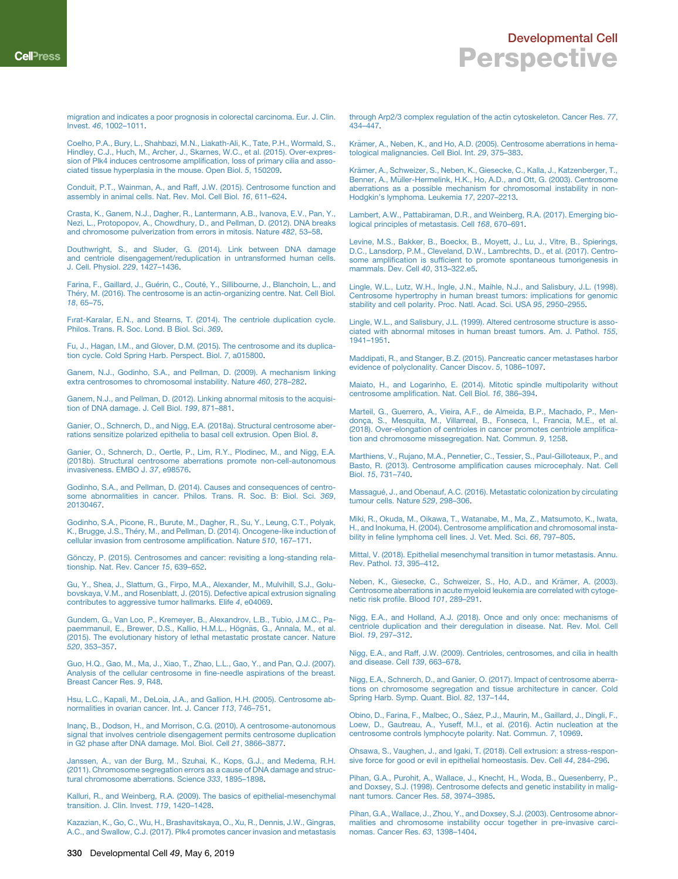[migration and indicates a poor prognosis in colorectal carcinoma. Eur. J. Clin.](http://refhub.elsevier.com/S1534-5807(19)30272-2/sref15) Invest. *46*[, 1002–1011](http://refhub.elsevier.com/S1534-5807(19)30272-2/sref15).

[Coelho, P.A., Bury, L., Shahbazi, M.N., Liakath-Ali, K., Tate, P.H., Wormald, S.,](http://refhub.elsevier.com/S1534-5807(19)30272-2/sref16) [Hindley, C.J., Huch, M., Archer, J., Skarnes, W.C., et al. \(2015\). Over-expres](http://refhub.elsevier.com/S1534-5807(19)30272-2/sref16)[sion of Plk4 induces centrosome amplification, loss of primary cilia and asso](http://refhub.elsevier.com/S1534-5807(19)30272-2/sref16)[ciated tissue hyperplasia in the mouse. Open Biol.](http://refhub.elsevier.com/S1534-5807(19)30272-2/sref16) *5*, 150209.

[Conduit, P.T., Wainman, A., and Raff, J.W. \(2015\). Centrosome function and](http://refhub.elsevier.com/S1534-5807(19)30272-2/sref17) [assembly in animal cells. Nat. Rev. Mol. Cell Biol.](http://refhub.elsevier.com/S1534-5807(19)30272-2/sref17) *16*, 611–624.

<span id="page-5-6"></span>[Crasta, K., Ganem, N.J., Dagher, R., Lantermann, A.B., Ivanova, E.V., Pan, Y.,](http://refhub.elsevier.com/S1534-5807(19)30272-2/sref18) [Nezi, L., Protopopov, A., Chowdhury, D., and Pellman, D. \(2012\). DNA breaks](http://refhub.elsevier.com/S1534-5807(19)30272-2/sref18) [and chromosome pulverization from errors in mitosis. Nature](http://refhub.elsevier.com/S1534-5807(19)30272-2/sref18) *482*, 53–58.

<span id="page-5-21"></span>[Douthwright, S., and Sluder, G. \(2014\). Link between DNA damage](http://refhub.elsevier.com/S1534-5807(19)30272-2/sref19) [and centriole disengagement/reduplication in untransformed human cells.](http://refhub.elsevier.com/S1534-5807(19)30272-2/sref19) [J. Cell. Physiol.](http://refhub.elsevier.com/S1534-5807(19)30272-2/sref19) *229*, 1427–1436.

<span id="page-5-15"></span>Farina, F., Gaillard, J., Guérin, C., Couté, Y., Sillibourne, J., Blanchoin, L., and Théry, M. (2016). The centrosome is an actin-organizing centre. Nat. Cell Biol. *18*[, 65–75](http://refhub.elsevier.com/S1534-5807(19)30272-2/sref20).

Fı[rat-Karalar, E.N., and Stearns, T. \(2014\). The centriole duplication cycle.](http://refhub.elsevier.com/S1534-5807(19)30272-2/sref21) [Philos. Trans. R. Soc. Lond. B Biol. Sci.](http://refhub.elsevier.com/S1534-5807(19)30272-2/sref21) *369*.

[Fu, J., Hagan, I.M., and Glover, D.M. \(2015\). The centrosome and its duplica](http://refhub.elsevier.com/S1534-5807(19)30272-2/sref22)[tion cycle. Cold Spring Harb. Perspect. Biol.](http://refhub.elsevier.com/S1534-5807(19)30272-2/sref22) *7*, a015800.

[Ganem, N.J., Godinho, S.A., and Pellman, D. \(2009\). A mechanism linking](http://refhub.elsevier.com/S1534-5807(19)30272-2/sref23) [extra centrosomes to chromosomal instability. Nature](http://refhub.elsevier.com/S1534-5807(19)30272-2/sref23) *460*, 278–282.

[Ganem, N.J., and Pellman, D. \(2012\). Linking abnormal mitosis to the acquisi](http://refhub.elsevier.com/S1534-5807(19)30272-2/sref24)[tion of DNA damage. J. Cell Biol.](http://refhub.elsevier.com/S1534-5807(19)30272-2/sref24) *199*, 871–881.

<span id="page-5-18"></span>[Ganier, O., Schnerch, D., and Nigg, E.A. \(2018a\). Structural centrosome aber](http://refhub.elsevier.com/S1534-5807(19)30272-2/sref25)[rations sensitize polarized epithelia to basal cell extrusion. Open Biol.](http://refhub.elsevier.com/S1534-5807(19)30272-2/sref25) *8*.

<span id="page-5-14"></span>[Ganier, O., Schnerch, D., Oertle, P., Lim, R.Y., Plodinec, M., and Nigg, E.A.](http://refhub.elsevier.com/S1534-5807(19)30272-2/sref26) [\(2018b\). Structural centrosome aberrations promote non-cell-autonomous](http://refhub.elsevier.com/S1534-5807(19)30272-2/sref26) [invasiveness. EMBO J.](http://refhub.elsevier.com/S1534-5807(19)30272-2/sref26) *37*, e98576.

<span id="page-5-2"></span>[Godinho, S.A., and Pellman, D. \(2014\). Causes and consequences of centro](http://refhub.elsevier.com/S1534-5807(19)30272-2/sref27)[some abnormalities in cancer. Philos. Trans. R. Soc. B: Biol. Sci.](http://refhub.elsevier.com/S1534-5807(19)30272-2/sref27) *369*, [20130467.](http://refhub.elsevier.com/S1534-5807(19)30272-2/sref27)

<span id="page-5-13"></span>[Godinho, S.A., Picone, R., Burute, M., Dagher, R., Su, Y., Leung, C.T., Polyak,](http://refhub.elsevier.com/S1534-5807(19)30272-2/sref28) K., Brugge, J.S., Théry, M., and Pellman, D. (2014). Oncogene-like induction of [cellular invasion from centrosome amplification. Nature](http://refhub.elsevier.com/S1534-5807(19)30272-2/sref28) *510*, 167–171.

<span id="page-5-20"></span>Gö[nczy, P. \(2015\). Centrosomes and cancer: revisiting a long-standing rela](http://refhub.elsevier.com/S1534-5807(19)30272-2/sref29)[tionship. Nat. Rev. Cancer](http://refhub.elsevier.com/S1534-5807(19)30272-2/sref29) *15*, 639–652.

[Gu, Y., Shea, J., Slattum, G., Firpo, M.A., Alexander, M., Mulvihill, S.J., Golu](http://refhub.elsevier.com/S1534-5807(19)30272-2/sref30)[bovskaya, V.M., and Rosenblatt, J. \(2015\). Defective apical extrusion signaling](http://refhub.elsevier.com/S1534-5807(19)30272-2/sref30) [contributes to aggressive tumor hallmarks. Elife](http://refhub.elsevier.com/S1534-5807(19)30272-2/sref30) *4*, e04069.

[Gundem, G., Van Loo, P., Kremeyer, B., Alexandrov, L.B., Tubio, J.M.C., Pa](http://refhub.elsevier.com/S1534-5807(19)30272-2/sref31)paemmanuil, E., Brewer, D.S., Kallio, H.M.L., Högnäs, G., Annala, M., et al. [\(2015\). The evolutionary history of lethal metastatic prostate cancer. Nature](http://refhub.elsevier.com/S1534-5807(19)30272-2/sref31) *520*[, 353–357.](http://refhub.elsevier.com/S1534-5807(19)30272-2/sref31)

[Guo, H.Q., Gao, M., Ma, J., Xiao, T., Zhao, L.L., Gao, Y., and Pan, Q.J. \(2007\).](http://refhub.elsevier.com/S1534-5807(19)30272-2/sref32) [Analysis of the cellular centrosome in fine-needle aspirations of the breast.](http://refhub.elsevier.com/S1534-5807(19)30272-2/sref32) [Breast Cancer Res.](http://refhub.elsevier.com/S1534-5807(19)30272-2/sref32) *9*, R48.

<span id="page-5-3"></span>[Hsu, L.C., Kapali, M., DeLoia, J.A., and Gallion, H.H. \(2005\). Centrosome ab](http://refhub.elsevier.com/S1534-5807(19)30272-2/sref33)[normalities in ovarian cancer. Int. J. Cancer](http://refhub.elsevier.com/S1534-5807(19)30272-2/sref33) *113*, 746–751.

Inanç, B., Dodson, H., and Morrison, C.G. (2010). A centrosome-autonomous [signal that involves centriole disengagement permits centrosome duplication](http://refhub.elsevier.com/S1534-5807(19)30272-2/sref34) [in G2 phase after DNA damage. Mol. Biol. Cell](http://refhub.elsevier.com/S1534-5807(19)30272-2/sref34) *21*, 3866–3877.

[Janssen, A., van der Burg, M., Szuhai, K., Kops, G.J., and Medema, R.H.](http://refhub.elsevier.com/S1534-5807(19)30272-2/sref35) [\(2011\). Chromosome segregation errors as a cause of DNA damage and struc](http://refhub.elsevier.com/S1534-5807(19)30272-2/sref35)[tural chromosome aberrations. Science](http://refhub.elsevier.com/S1534-5807(19)30272-2/sref35) *333*, 1895–1898.

<span id="page-5-22"></span>[Kalluri, R., and Weinberg, R.A. \(2009\). The basics of epithelial-mesenchymal](http://refhub.elsevier.com/S1534-5807(19)30272-2/sref36) [transition. J. Clin. Invest.](http://refhub.elsevier.com/S1534-5807(19)30272-2/sref36) *119*, 1420–1428.

[Kazazian, K., Go, C., Wu, H., Brashavitskaya, O., Xu, R., Dennis, J.W., Gingras,](http://refhub.elsevier.com/S1534-5807(19)30272-2/sref37) [A.C., and Swallow, C.J. \(2017\). Plk4 promotes cancer invasion and metastasis](http://refhub.elsevier.com/S1534-5807(19)30272-2/sref37) [through Arp2/3 complex regulation of the actin cytoskeleton. Cancer Res.](http://refhub.elsevier.com/S1534-5807(19)30272-2/sref37) *77*, [434–447](http://refhub.elsevier.com/S1534-5807(19)30272-2/sref37).

<span id="page-5-4"></span>Krämer, A., Neben, K., and Ho, A.D. (2005). Centrosome aberrations in hema[tological malignancies. Cell Biol. Int.](http://refhub.elsevier.com/S1534-5807(19)30272-2/sref38) *29*, 375–383.

Krämer, A., Schweizer, S., Neben, K., Giesecke, C., Kalla, J., Katzenberger, T.,<br>Benner, A., Müller-Hermelink, H.K., Ho, A.D., and Ott, G. (2003). Centrosome [aberrations as a possible mechanism for chromosomal instability in non-](http://refhub.elsevier.com/S1534-5807(19)30272-2/sref39)[Hodgkin's lymphoma. Leukemia](http://refhub.elsevier.com/S1534-5807(19)30272-2/sref39) *17*, 2207–2213.

<span id="page-5-10"></span>[Lambert, A.W., Pattabiraman, D.R., and Weinberg, R.A. \(2017\). Emerging bio](http://refhub.elsevier.com/S1534-5807(19)30272-2/sref40)[logical principles of metastasis. Cell](http://refhub.elsevier.com/S1534-5807(19)30272-2/sref40) *168*, 670–691.

<span id="page-5-7"></span>[Levine, M.S., Bakker, B., Boeckx, B., Moyett, J., Lu, J., Vitre, B., Spierings,](http://refhub.elsevier.com/S1534-5807(19)30272-2/sref41) [D.C., Lansdorp, P.M., Cleveland, D.W., Lambrechts, D., et al. \(2017\). Centro](http://refhub.elsevier.com/S1534-5807(19)30272-2/sref41)[some amplification is sufficient to promote spontaneous tumorigenesis in](http://refhub.elsevier.com/S1534-5807(19)30272-2/sref41) [mammals. Dev. Cell](http://refhub.elsevier.com/S1534-5807(19)30272-2/sref41) *40*, 313–322.e5.

[Lingle, W.L., Lutz, W.H., Ingle, J.N., Maihle, N.J., and Salisbury, J.L. \(1998\).](http://refhub.elsevier.com/S1534-5807(19)30272-2/sref42) [Centrosome hypertrophy in human breast tumors: implications for genomic](http://refhub.elsevier.com/S1534-5807(19)30272-2/sref42) [stability and cell polarity. Proc. Natl. Acad. Sci. USA](http://refhub.elsevier.com/S1534-5807(19)30272-2/sref42) *95*, 2950–2955.

[Lingle, W.L., and Salisbury, J.L. \(1999\). Altered centrosome structure is asso](http://refhub.elsevier.com/S1534-5807(19)30272-2/sref43)[ciated with abnormal mitoses in human breast tumors. Am. J. Pathol.](http://refhub.elsevier.com/S1534-5807(19)30272-2/sref43) *155*, [1941–1951](http://refhub.elsevier.com/S1534-5807(19)30272-2/sref43).

[Maddipati, R., and Stanger, B.Z. \(2015\). Pancreatic cancer metastases harbor](http://refhub.elsevier.com/S1534-5807(19)30272-2/sref44) [evidence of polyclonality. Cancer Discov.](http://refhub.elsevier.com/S1534-5807(19)30272-2/sref44) *5*, 1086–1097.

<span id="page-5-19"></span>[Maiato, H., and Logarinho, E. \(2014\). Mitotic spindle multipolarity without](http://refhub.elsevier.com/S1534-5807(19)30272-2/sref45) [centrosome amplification. Nat. Cell Biol.](http://refhub.elsevier.com/S1534-5807(19)30272-2/sref45) *16*, 386–394.

<span id="page-5-5"></span>[Marteil, G., Guerrero, A., Vieira, A.F., de Almeida, B.P., Machado, P., Men](http://refhub.elsevier.com/S1534-5807(19)30272-2/sref46)donça, S., Mesquita, M., Villarreal, B., Fonseca, I., Francia, M.E., et al. [\(2018\). Over-elongation of centrioles in cancer promotes centriole amplifica](http://refhub.elsevier.com/S1534-5807(19)30272-2/sref46)[tion and chromosome missegregation. Nat. Commun.](http://refhub.elsevier.com/S1534-5807(19)30272-2/sref46) *9*, 1258.

<span id="page-5-8"></span>[Marthiens, V., Rujano, M.A., Pennetier, C., Tessier, S., Paul-Gilloteaux, P., and](http://refhub.elsevier.com/S1534-5807(19)30272-2/sref47) [Basto, R. \(2013\). Centrosome amplification causes microcephaly. Nat. Cell](http://refhub.elsevier.com/S1534-5807(19)30272-2/sref47) Biol. *15*[, 731–740.](http://refhub.elsevier.com/S1534-5807(19)30272-2/sref47)

<span id="page-5-12"></span>Massagué[, J., and Obenauf, A.C. \(2016\). Metastatic colonization by circulating](http://refhub.elsevier.com/S1534-5807(19)30272-2/sref48) [tumour cells. Nature](http://refhub.elsevier.com/S1534-5807(19)30272-2/sref48) *529*, 298–306.

[Miki, R., Okuda, M., Oikawa, T., Watanabe, M., Ma, Z., Matsumoto, K., Iwata,](http://refhub.elsevier.com/S1534-5807(19)30272-2/sref49) [H., and Inokuma, H. \(2004\). Centrosome amplification and chromosomal insta](http://refhub.elsevier.com/S1534-5807(19)30272-2/sref49)[bility in feline lymphoma cell lines. J. Vet. Med. Sci.](http://refhub.elsevier.com/S1534-5807(19)30272-2/sref49) *66*, 797–805.

<span id="page-5-11"></span>[Mittal, V. \(2018\). Epithelial mesenchymal transition in tumor metastasis. Annu.](http://refhub.elsevier.com/S1534-5807(19)30272-2/sref50) [Rev. Pathol.](http://refhub.elsevier.com/S1534-5807(19)30272-2/sref50) *13*, 395–412.

Neben, K., Giesecke, C., Schweizer, S., Ho, A.D., and Krämer, A. (2003). [Centrosome aberrations in acute myeloid leukemia are correlated with cytoge](http://refhub.elsevier.com/S1534-5807(19)30272-2/sref51)[netic risk profile. Blood](http://refhub.elsevier.com/S1534-5807(19)30272-2/sref51) *101*, 289–291.

<span id="page-5-1"></span><span id="page-5-0"></span>[Nigg, E.A., and Holland, A.J. \(2018\). Once and only once: mechanisms of](http://refhub.elsevier.com/S1534-5807(19)30272-2/sref52) [centriole duplication and their deregulation in disease. Nat. Rev. Mol. Cell](http://refhub.elsevier.com/S1534-5807(19)30272-2/sref52) Biol. *19*[, 297–312.](http://refhub.elsevier.com/S1534-5807(19)30272-2/sref52)

<span id="page-5-9"></span>[Nigg, E.A., and Raff, J.W. \(2009\). Centrioles, centrosomes, and cilia in health](http://refhub.elsevier.com/S1534-5807(19)30272-2/sref53) [and disease. Cell](http://refhub.elsevier.com/S1534-5807(19)30272-2/sref53) *139*, 663–678.

<span id="page-5-16"></span>[Nigg, E.A., Schnerch, D., and Ganier, O. \(2017\). Impact of centrosome aberra](http://refhub.elsevier.com/S1534-5807(19)30272-2/sref54)[tions on chromosome segregation and tissue architecture in cancer. Cold](http://refhub.elsevier.com/S1534-5807(19)30272-2/sref54) [Spring Harb. Symp. Quant. Biol.](http://refhub.elsevier.com/S1534-5807(19)30272-2/sref54) *82*, 137–144.

<span id="page-5-17"></span>Obino, D., Farina, F., Malbec, O., Sá[ez, P.J., Maurin, M., Gaillard, J., Dingli, F.,](http://refhub.elsevier.com/S1534-5807(19)30272-2/sref55) [Loew, D., Gautreau, A., Yuseff, M.I., et al. \(2016\). Actin nucleation at the](http://refhub.elsevier.com/S1534-5807(19)30272-2/sref55) [centrosome controls lymphocyte polarity. Nat. Commun.](http://refhub.elsevier.com/S1534-5807(19)30272-2/sref55) *7*, 10969.

[Ohsawa, S., Vaughen, J., and Igaki, T. \(2018\). Cell extrusion: a stress-respon](http://refhub.elsevier.com/S1534-5807(19)30272-2/sref56)[sive force for good or evil in epithelial homeostasis. Dev. Cell](http://refhub.elsevier.com/S1534-5807(19)30272-2/sref56) *44*, 284–296.

[Pihan, G.A., Purohit, A., Wallace, J., Knecht, H., Woda, B., Quesenberry, P.,](http://refhub.elsevier.com/S1534-5807(19)30272-2/sref57) [and Doxsey, S.J. \(1998\). Centrosome defects and genetic instability in malig](http://refhub.elsevier.com/S1534-5807(19)30272-2/sref57)[nant tumors. Cancer Res.](http://refhub.elsevier.com/S1534-5807(19)30272-2/sref57) *58*, 3974–3985.

[Pihan, G.A., Wallace, J., Zhou, Y., and Doxsey, S.J. \(2003\). Centrosome abnor](http://refhub.elsevier.com/S1534-5807(19)30272-2/sref58)[malities and chromosome instability occur together in pre-invasive carci](http://refhub.elsevier.com/S1534-5807(19)30272-2/sref58)[nomas. Cancer Res.](http://refhub.elsevier.com/S1534-5807(19)30272-2/sref58) *63*, 1398–1404.